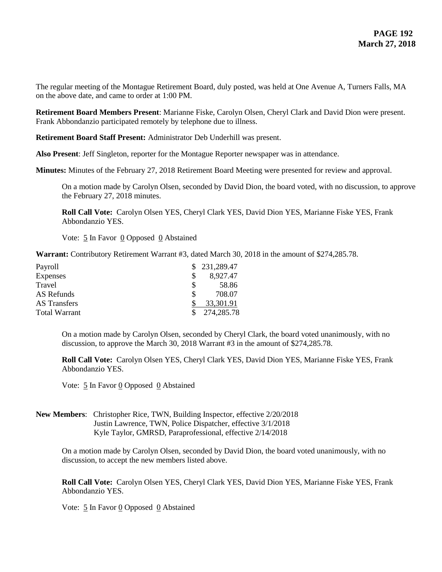The regular meeting of the Montague Retirement Board, duly posted, was held at One Avenue A, Turners Falls, MA on the above date, and came to order at 1:00 PM.

**Retirement Board Members Present**: Marianne Fiske, Carolyn Olsen, Cheryl Clark and David Dion were present. Frank Abbondanzio participated remotely by telephone due to illness.

**Retirement Board Staff Present:** Administrator Deb Underhill was present.

**Also Present**: Jeff Singleton, reporter for the Montague Reporter newspaper was in attendance.

**Minutes:** Minutes of the February 27, 2018 Retirement Board Meeting were presented for review and approval.

On a motion made by Carolyn Olsen, seconded by David Dion, the board voted, with no discussion, to approve the February 27, 2018 minutes.

**Roll Call Vote:** Carolyn Olsen YES, Cheryl Clark YES, David Dion YES, Marianne Fiske YES, Frank Abbondanzio YES.

Vote: 5 In Favor 0 Opposed 0 Abstained

**Warrant:** Contributory Retirement Warrant #3, dated March 30, 2018 in the amount of \$274,285.78.

| Payroll              |   | \$231,289.47 |
|----------------------|---|--------------|
| <b>Expenses</b>      |   | 8,927.47     |
| Travel               | S | 58.86        |
| AS Refunds           | S | 708.07       |
| <b>AS</b> Transfers  |   | 33,301.91    |
| <b>Total Warrant</b> |   | 274,285.78   |

On a motion made by Carolyn Olsen, seconded by Cheryl Clark, the board voted unanimously, with no discussion, to approve the March 30, 2018 Warrant #3 in the amount of \$274,285.78.

**Roll Call Vote:** Carolyn Olsen YES, Cheryl Clark YES, David Dion YES, Marianne Fiske YES, Frank Abbondanzio YES.

Vote:  $\frac{5}{5}$  In Favor <u>0</u> Opposed 0 Abstained

**New Members**: Christopher Rice, TWN, Building Inspector, effective 2/20/2018 Justin Lawrence, TWN, Police Dispatcher, effective 3/1/2018 Kyle Taylor, GMRSD, Paraprofessional, effective 2/14/2018

On a motion made by Carolyn Olsen, seconded by David Dion, the board voted unanimously, with no discussion, to accept the new members listed above.

**Roll Call Vote:** Carolyn Olsen YES, Cheryl Clark YES, David Dion YES, Marianne Fiske YES, Frank Abbondanzio YES.

Vote:  $\frac{5}{5}$  In Favor <u>0</u> Opposed 0 Abstained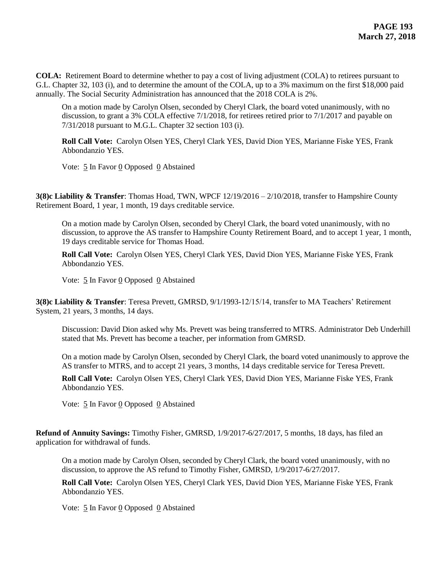**COLA:** Retirement Board to determine whether to pay a cost of living adjustment (COLA) to retirees pursuant to G.L. Chapter 32, 103 (i), and to determine the amount of the COLA, up to a 3% maximum on the first \$18,000 paid annually. The Social Security Administration has announced that the 2018 COLA is 2%.

On a motion made by Carolyn Olsen, seconded by Cheryl Clark, the board voted unanimously, with no discussion, to grant a 3% COLA effective 7/1/2018, for retirees retired prior to 7/1/2017 and payable on 7/31/2018 pursuant to M.G.L. Chapter 32 section 103 (i).

**Roll Call Vote:** Carolyn Olsen YES, Cheryl Clark YES, David Dion YES, Marianne Fiske YES, Frank Abbondanzio YES.

Vote:  $\frac{5}{5}$  In Favor 0 Opposed 0 Abstained

**3(8)c Liability & Transfer**: Thomas Hoad, TWN, WPCF 12/19/2016 – 2/10/2018, transfer to Hampshire County Retirement Board, 1 year, 1 month, 19 days creditable service.

On a motion made by Carolyn Olsen, seconded by Cheryl Clark, the board voted unanimously, with no discussion, to approve the AS transfer to Hampshire County Retirement Board, and to accept 1 year, 1 month, 19 days creditable service for Thomas Hoad.

**Roll Call Vote:** Carolyn Olsen YES, Cheryl Clark YES, David Dion YES, Marianne Fiske YES, Frank Abbondanzio YES.

Vote: 5 In Favor 0 Opposed 0 Abstained

**3(8)c Liability & Transfer**: Teresa Prevett, GMRSD, 9/1/1993-12/15/14, transfer to MA Teachers' Retirement System, 21 years, 3 months, 14 days.

Discussion: David Dion asked why Ms. Prevett was being transferred to MTRS. Administrator Deb Underhill stated that Ms. Prevett has become a teacher, per information from GMRSD.

On a motion made by Carolyn Olsen, seconded by Cheryl Clark, the board voted unanimously to approve the AS transfer to MTRS, and to accept 21 years, 3 months, 14 days creditable service for Teresa Prevett.

**Roll Call Vote:** Carolyn Olsen YES, Cheryl Clark YES, David Dion YES, Marianne Fiske YES, Frank Abbondanzio YES.

Vote:  $\frac{5}{5}$  In Favor 0 Opposed 0 Abstained

**Refund of Annuity Savings:** Timothy Fisher, GMRSD, 1/9/2017-6/27/2017, 5 months, 18 days, has filed an application for withdrawal of funds.

On a motion made by Carolyn Olsen, seconded by Cheryl Clark, the board voted unanimously, with no discussion, to approve the AS refund to Timothy Fisher, GMRSD, 1/9/2017-6/27/2017.

**Roll Call Vote:** Carolyn Olsen YES, Cheryl Clark YES, David Dion YES, Marianne Fiske YES, Frank Abbondanzio YES.

Vote:  $\frac{5}{5}$  In Favor 0 Opposed 0 Abstained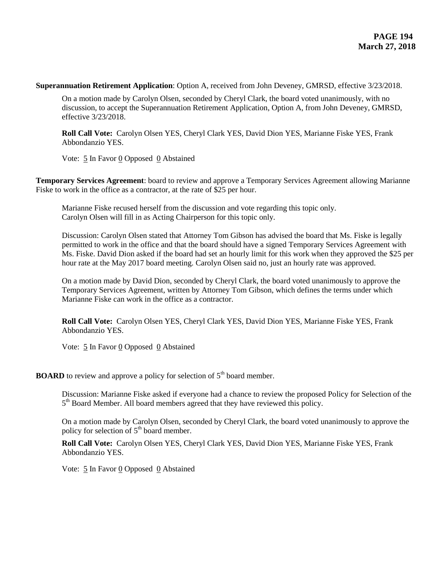**Superannuation Retirement Application**: Option A, received from John Deveney, GMRSD, effective 3/23/2018.

On a motion made by Carolyn Olsen, seconded by Cheryl Clark, the board voted unanimously, with no discussion, to accept the Superannuation Retirement Application, Option A, from John Deveney, GMRSD, effective 3/23/2018.

**Roll Call Vote:** Carolyn Olsen YES, Cheryl Clark YES, David Dion YES, Marianne Fiske YES, Frank Abbondanzio YES.

Vote:  $\frac{5}{5}$  In Favor 0 Opposed 0 Abstained

**Temporary Services Agreement**: board to review and approve a Temporary Services Agreement allowing Marianne Fiske to work in the office as a contractor, at the rate of \$25 per hour.

Marianne Fiske recused herself from the discussion and vote regarding this topic only. Carolyn Olsen will fill in as Acting Chairperson for this topic only.

Discussion: Carolyn Olsen stated that Attorney Tom Gibson has advised the board that Ms. Fiske is legally permitted to work in the office and that the board should have a signed Temporary Services Agreement with Ms. Fiske. David Dion asked if the board had set an hourly limit for this work when they approved the \$25 per hour rate at the May 2017 board meeting. Carolyn Olsen said no, just an hourly rate was approved.

On a motion made by David Dion, seconded by Cheryl Clark, the board voted unanimously to approve the Temporary Services Agreement, written by Attorney Tom Gibson, which defines the terms under which Marianne Fiske can work in the office as a contractor.

**Roll Call Vote:** Carolyn Olsen YES, Cheryl Clark YES, David Dion YES, Marianne Fiske YES, Frank Abbondanzio YES.

Vote: 5 In Favor 0 Opposed 0 Abstained

**BOARD** to review and approve a policy for selection of  $5<sup>th</sup>$  board member.

Discussion: Marianne Fiske asked if everyone had a chance to review the proposed Policy for Selection of the 5<sup>th</sup> Board Member. All board members agreed that they have reviewed this policy.

On a motion made by Carolyn Olsen, seconded by Cheryl Clark, the board voted unanimously to approve the policy for selection of  $5<sup>th</sup>$  board member.

**Roll Call Vote:** Carolyn Olsen YES, Cheryl Clark YES, David Dion YES, Marianne Fiske YES, Frank Abbondanzio YES.

Vote: 5 In Favor 0 Opposed 0 Abstained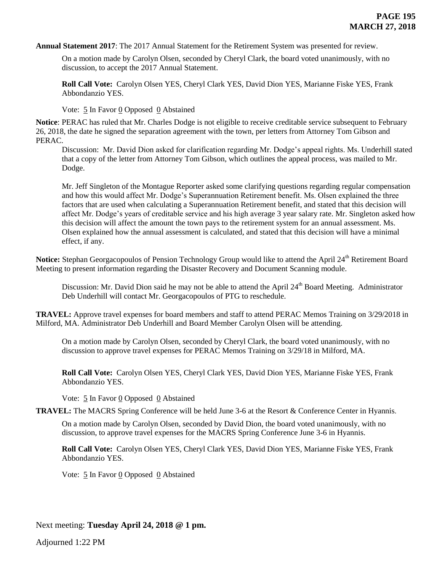**Annual Statement 2017**: The 2017 Annual Statement for the Retirement System was presented for review.

On a motion made by Carolyn Olsen, seconded by Cheryl Clark, the board voted unanimously, with no discussion, to accept the 2017 Annual Statement.

**Roll Call Vote:** Carolyn Olsen YES, Cheryl Clark YES, David Dion YES, Marianne Fiske YES, Frank Abbondanzio YES.

Vote:  $\frac{5}{5}$  In Favor <u>0</u> Opposed 0 Abstained

**Notice**: PERAC has ruled that Mr. Charles Dodge is not eligible to receive creditable service subsequent to February 26, 2018, the date he signed the separation agreement with the town, per letters from Attorney Tom Gibson and PERAC.

Discussion: Mr. David Dion asked for clarification regarding Mr. Dodge's appeal rights. Ms. Underhill stated that a copy of the letter from Attorney Tom Gibson, which outlines the appeal process, was mailed to Mr. Dodge.

Mr. Jeff Singleton of the Montague Reporter asked some clarifying questions regarding regular compensation and how this would affect Mr. Dodge's Superannuation Retirement benefit. Ms. Olsen explained the three factors that are used when calculating a Superannuation Retirement benefit, and stated that this decision will affect Mr. Dodge's years of creditable service and his high average 3 year salary rate. Mr. Singleton asked how this decision will affect the amount the town pays to the retirement system for an annual assessment. Ms. Olsen explained how the annual assessment is calculated, and stated that this decision will have a minimal effect, if any.

Notice: Stephan Georgacopoulos of Pension Technology Group would like to attend the April 24<sup>th</sup> Retirement Board Meeting to present information regarding the Disaster Recovery and Document Scanning module.

Discussion: Mr. David Dion said he may not be able to attend the April 24<sup>th</sup> Board Meeting. Administrator Deb Underhill will contact Mr. Georgacopoulos of PTG to reschedule.

**TRAVEL:** Approve travel expenses for board members and staff to attend PERAC Memos Training on 3/29/2018 in Milford, MA. Administrator Deb Underhill and Board Member Carolyn Olsen will be attending.

On a motion made by Carolyn Olsen, seconded by Cheryl Clark, the board voted unanimously, with no discussion to approve travel expenses for PERAC Memos Training on 3/29/18 in Milford, MA.

**Roll Call Vote:** Carolyn Olsen YES, Cheryl Clark YES, David Dion YES, Marianne Fiske YES, Frank Abbondanzio YES.

Vote: 5 In Favor 0 Opposed 0 Abstained

**TRAVEL:** The MACRS Spring Conference will be held June 3-6 at the Resort & Conference Center in Hyannis.

On a motion made by Carolyn Olsen, seconded by David Dion, the board voted unanimously, with no discussion, to approve travel expenses for the MACRS Spring Conference June 3-6 in Hyannis.

**Roll Call Vote:** Carolyn Olsen YES, Cheryl Clark YES, David Dion YES, Marianne Fiske YES, Frank Abbondanzio YES.

Vote: 5 In Favor 0 Opposed 0 Abstained

Next meeting: **Tuesday April 24, 2018 @ 1 pm.**

Adjourned 1:22 PM